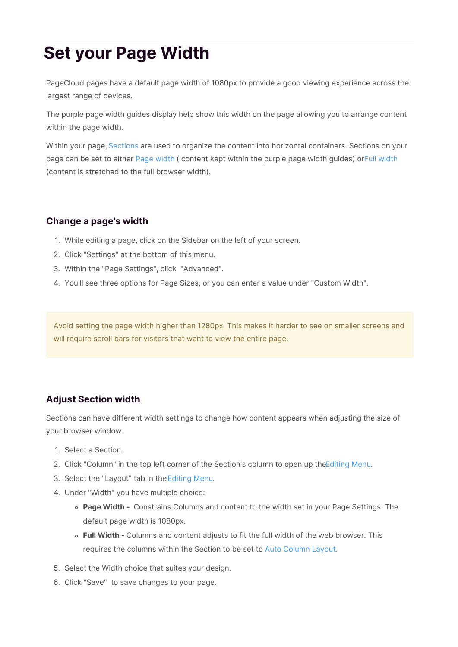## **Set your Page Width**

PageCloud pages have a default page width of 1080px to provide a good viewing experience across the largest range of devices.

The purple page width guides display help show this width on the page allowing you to arrange content within the page width.

Within your page, Sections are used to organize the content into horizontal containers. Sections on your page can be set to either Page width ( content kept within the purple page width guides) orFull width (content is stretched to the full browser width).

## **Change a page's width**

- 1. While editing a page, click on the Sidebar on the left of your screen.
- 2. Click "Settings" at the bottom of this menu.
- 3. Within the "Page Settings", click "Advanced".
- 4. You'll see three options for Page Sizes, or you can enter a value under "Custom Width".

Avoid setting the page width higher than 1280px. This makes it harder to see on smaller screens and will require scroll bars for visitors that want to view the entire page.

## **Adjust Section width**

Sections can have different width settings to change how content appears when adjusting the size of your browser window.

- 1. Select a Section.
- 2. Click "Column" in the top left corner of the Section's column to open up theEditing Menu.
- 3. Select the "Layout" tab in theEditing Menu.
- 4. Under "Width" you have multiple choice:
	- **Page Width -** Constrains Columns and content to the width set in your Page Settings. The default page width is 1080px.
	- **Full Width -** Columns and content adjusts to fit the full width of the web browser. This requires the columns within the Section to be set to Auto Column Layout.
- 5. Select the Width choice that suites your design.
- 6. Click "Save" to save changes to your page.